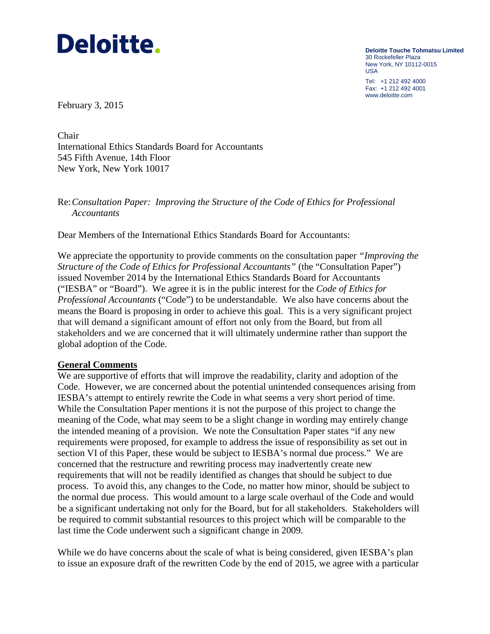

**Deloitte Touche Tohmatsu Limited** 30 Rockefeller Plaza New York, NY 10112-0015 USA Tel: +1 212 492 4000 Fax: +1 212 492 4001

www.deloitte.com

February 3, 2015

Chair International Ethics Standards Board for Accountants 545 Fifth Avenue, 14th Floor New York, New York 10017

# Re:*Consultation Paper: Improving the Structure of the Code of Ethics for Professional Accountants*

Dear Members of the International Ethics Standards Board for Accountants:

We appreciate the opportunity to provide comments on the consultation paper *"Improving the Structure of the Code of Ethics for Professional Accountants"* (the "Consultation Paper") issued November 2014 by the International Ethics Standards Board for Accountants ("IESBA" or "Board"). We agree it is in the public interest for the *Code of Ethics for Professional Accountants* ("Code") to be understandable. We also have concerns about the means the Board is proposing in order to achieve this goal. This is a very significant project that will demand a significant amount of effort not only from the Board, but from all stakeholders and we are concerned that it will ultimately undermine rather than support the global adoption of the Code.

### **General Comments**

We are supportive of efforts that will improve the readability, clarity and adoption of the Code. However, we are concerned about the potential unintended consequences arising from IESBA's attempt to entirely rewrite the Code in what seems a very short period of time. While the Consultation Paper mentions it is not the purpose of this project to change the meaning of the Code, what may seem to be a slight change in wording may entirely change the intended meaning of a provision. We note the Consultation Paper states "if any new requirements were proposed, for example to address the issue of responsibility as set out in section VI of this Paper, these would be subject to IESBA's normal due process." We are concerned that the restructure and rewriting process may inadvertently create new requirements that will not be readily identified as changes that should be subject to due process. To avoid this, any changes to the Code, no matter how minor, should be subject to the normal due process. This would amount to a large scale overhaul of the Code and would be a significant undertaking not only for the Board, but for all stakeholders. Stakeholders will be required to commit substantial resources to this project which will be comparable to the last time the Code underwent such a significant change in 2009.

While we do have concerns about the scale of what is being considered, given IESBA's plan to issue an exposure draft of the rewritten Code by the end of 2015, we agree with a particular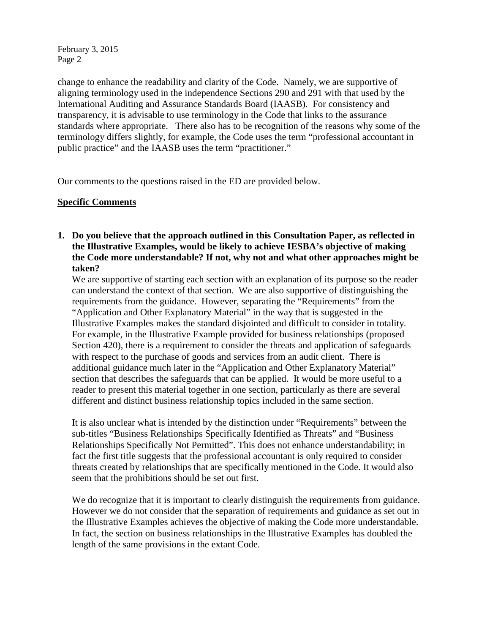change to enhance the readability and clarity of the Code. Namely, we are supportive of aligning terminology used in the independence Sections 290 and 291 with that used by the International Auditing and Assurance Standards Board (IAASB). For consistency and transparency, it is advisable to use terminology in the Code that links to the assurance standards where appropriate. There also has to be recognition of the reasons why some of the terminology differs slightly, for example, the Code uses the term "professional accountant in public practice" and the IAASB uses the term "practitioner."

Our comments to the questions raised in the ED are provided below.

# **Specific Comments**

**1. Do you believe that the approach outlined in this Consultation Paper, as reflected in the Illustrative Examples, would be likely to achieve IESBA's objective of making the Code more understandable? If not, why not and what other approaches might be taken?** 

We are supportive of starting each section with an explanation of its purpose so the reader can understand the context of that section. We are also supportive of distinguishing the requirements from the guidance. However, separating the "Requirements" from the "Application and Other Explanatory Material" in the way that is suggested in the Illustrative Examples makes the standard disjointed and difficult to consider in totality. For example, in the Illustrative Example provided for business relationships (proposed Section 420), there is a requirement to consider the threats and application of safeguards with respect to the purchase of goods and services from an audit client. There is additional guidance much later in the "Application and Other Explanatory Material" section that describes the safeguards that can be applied. It would be more useful to a reader to present this material together in one section, particularly as there are several different and distinct business relationship topics included in the same section.

It is also unclear what is intended by the distinction under "Requirements" between the sub-titles "Business Relationships Specifically Identified as Threats" and "Business Relationships Specifically Not Permitted". This does not enhance understandability; in fact the first title suggests that the professional accountant is only required to consider threats created by relationships that are specifically mentioned in the Code. It would also seem that the prohibitions should be set out first.

We do recognize that it is important to clearly distinguish the requirements from guidance. However we do not consider that the separation of requirements and guidance as set out in the Illustrative Examples achieves the objective of making the Code more understandable. In fact, the section on business relationships in the Illustrative Examples has doubled the length of the same provisions in the extant Code.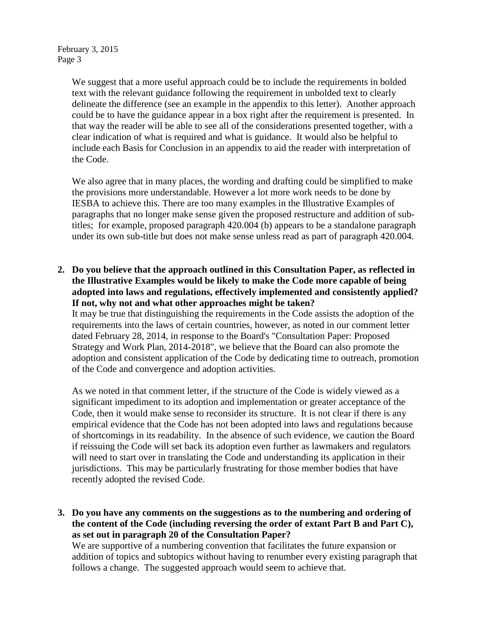We suggest that a more useful approach could be to include the requirements in bolded text with the relevant guidance following the requirement in unbolded text to clearly delineate the difference (see an example in the appendix to this letter). Another approach could be to have the guidance appear in a box right after the requirement is presented. In that way the reader will be able to see all of the considerations presented together, with a clear indication of what is required and what is guidance. It would also be helpful to include each Basis for Conclusion in an appendix to aid the reader with interpretation of the Code.

We also agree that in many places, the wording and drafting could be simplified to make the provisions more understandable. However a lot more work needs to be done by IESBA to achieve this. There are too many examples in the Illustrative Examples of paragraphs that no longer make sense given the proposed restructure and addition of subtitles; for example, proposed paragraph 420.004 (b) appears to be a standalone paragraph under its own sub-title but does not make sense unless read as part of paragraph 420.004.

**2. Do you believe that the approach outlined in this Consultation Paper, as reflected in the Illustrative Examples would be likely to make the Code more capable of being adopted into laws and regulations, effectively implemented and consistently applied? If not, why not and what other approaches might be taken?** 

It may be true that distinguishing the requirements in the Code assists the adoption of the requirements into the laws of certain countries, however, as noted in our comment letter dated February 28, 2014, in response to the Board's "Consultation Paper: Proposed Strategy and Work Plan, 2014-2018", we believe that the Board can also promote the adoption and consistent application of the Code by dedicating time to outreach, promotion of the Code and convergence and adoption activities.

As we noted in that comment letter, if the structure of the Code is widely viewed as a significant impediment to its adoption and implementation or greater acceptance of the Code, then it would make sense to reconsider its structure. It is not clear if there is any empirical evidence that the Code has not been adopted into laws and regulations because of shortcomings in its readability. In the absence of such evidence, we caution the Board if reissuing the Code will set back its adoption even further as lawmakers and regulators will need to start over in translating the Code and understanding its application in their jurisdictions. This may be particularly frustrating for those member bodies that have recently adopted the revised Code.

**3. Do you have any comments on the suggestions as to the numbering and ordering of the content of the Code (including reversing the order of extant Part B and Part C), as set out in paragraph 20 of the Consultation Paper?** 

We are supportive of a numbering convention that facilitates the future expansion or addition of topics and subtopics without having to renumber every existing paragraph that follows a change. The suggested approach would seem to achieve that.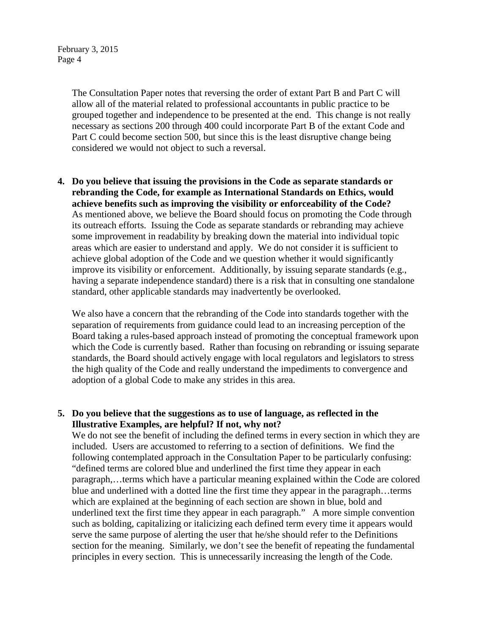> The Consultation Paper notes that reversing the order of extant Part B and Part C will allow all of the material related to professional accountants in public practice to be grouped together and independence to be presented at the end. This change is not really necessary as sections 200 through 400 could incorporate Part B of the extant Code and Part C could become section 500, but since this is the least disruptive change being considered we would not object to such a reversal.

**4. Do you believe that issuing the provisions in the Code as separate standards or rebranding the Code, for example as International Standards on Ethics, would achieve benefits such as improving the visibility or enforceability of the Code?**  As mentioned above, we believe the Board should focus on promoting the Code through its outreach efforts. Issuing the Code as separate standards or rebranding may achieve some improvement in readability by breaking down the material into individual topic areas which are easier to understand and apply. We do not consider it is sufficient to achieve global adoption of the Code and we question whether it would significantly improve its visibility or enforcement. Additionally, by issuing separate standards (e.g., having a separate independence standard) there is a risk that in consulting one standalone standard, other applicable standards may inadvertently be overlooked.

We also have a concern that the rebranding of the Code into standards together with the separation of requirements from guidance could lead to an increasing perception of the Board taking a rules-based approach instead of promoting the conceptual framework upon which the Code is currently based. Rather than focusing on rebranding or issuing separate standards, the Board should actively engage with local regulators and legislators to stress the high quality of the Code and really understand the impediments to convergence and adoption of a global Code to make any strides in this area.

# **5. Do you believe that the suggestions as to use of language, as reflected in the Illustrative Examples, are helpful? If not, why not?**

We do not see the benefit of including the defined terms in every section in which they are included. Users are accustomed to referring to a section of definitions. We find the following contemplated approach in the Consultation Paper to be particularly confusing: "defined terms are colored blue and underlined the first time they appear in each paragraph,…terms which have a particular meaning explained within the Code are colored blue and underlined with a dotted line the first time they appear in the paragraph…terms which are explained at the beginning of each section are shown in blue, bold and underlined text the first time they appear in each paragraph." A more simple convention such as bolding, capitalizing or italicizing each defined term every time it appears would serve the same purpose of alerting the user that he/she should refer to the Definitions section for the meaning. Similarly, we don't see the benefit of repeating the fundamental principles in every section. This is unnecessarily increasing the length of the Code.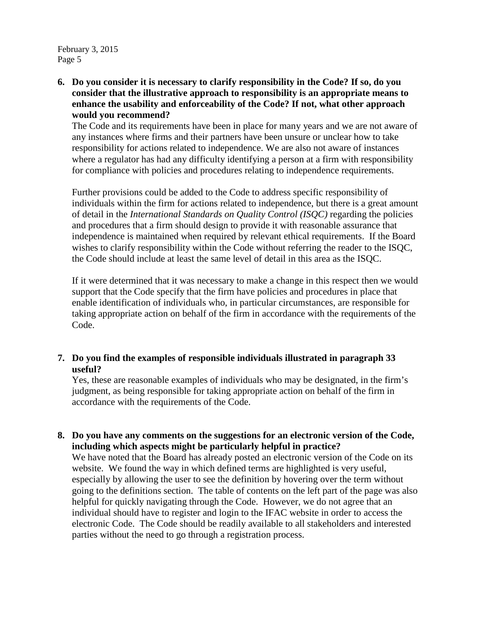**6. Do you consider it is necessary to clarify responsibility in the Code? If so, do you consider that the illustrative approach to responsibility is an appropriate means to enhance the usability and enforceability of the Code? If not, what other approach would you recommend?** 

The Code and its requirements have been in place for many years and we are not aware of any instances where firms and their partners have been unsure or unclear how to take responsibility for actions related to independence. We are also not aware of instances where a regulator has had any difficulty identifying a person at a firm with responsibility for compliance with policies and procedures relating to independence requirements.

Further provisions could be added to the Code to address specific responsibility of individuals within the firm for actions related to independence, but there is a great amount of detail in the *International Standards on Quality Control (ISQC)* regarding the policies and procedures that a firm should design to provide it with reasonable assurance that independence is maintained when required by relevant ethical requirements. If the Board wishes to clarify responsibility within the Code without referring the reader to the ISQC, the Code should include at least the same level of detail in this area as the ISQC.

If it were determined that it was necessary to make a change in this respect then we would support that the Code specify that the firm have policies and procedures in place that enable identification of individuals who, in particular circumstances, are responsible for taking appropriate action on behalf of the firm in accordance with the requirements of the Code.

# **7. Do you find the examples of responsible individuals illustrated in paragraph 33 useful?**

Yes, these are reasonable examples of individuals who may be designated, in the firm's judgment, as being responsible for taking appropriate action on behalf of the firm in accordance with the requirements of the Code.

**8. Do you have any comments on the suggestions for an electronic version of the Code, including which aspects might be particularly helpful in practice?** 

We have noted that the Board has already posted an electronic version of the Code on its website. We found the way in which defined terms are highlighted is very useful, especially by allowing the user to see the definition by hovering over the term without going to the definitions section. The table of contents on the left part of the page was also helpful for quickly navigating through the Code. However, we do not agree that an individual should have to register and login to the IFAC website in order to access the electronic Code. The Code should be readily available to all stakeholders and interested parties without the need to go through a registration process.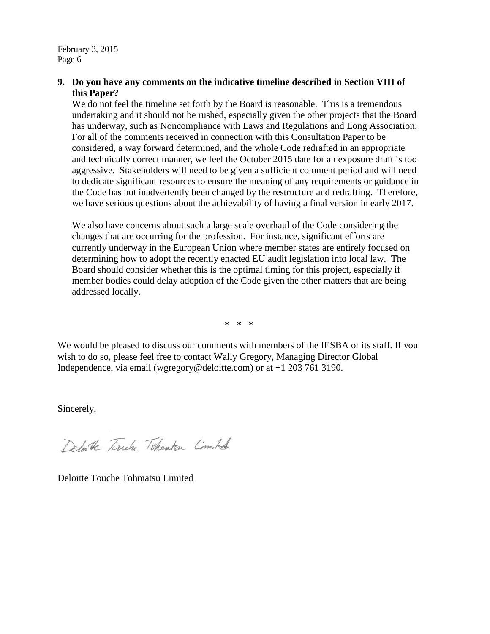# **9. Do you have any comments on the indicative timeline described in Section VIII of this Paper?**

We do not feel the timeline set forth by the Board is reasonable. This is a tremendous undertaking and it should not be rushed, especially given the other projects that the Board has underway, such as Noncompliance with Laws and Regulations and Long Association. For all of the comments received in connection with this Consultation Paper to be considered, a way forward determined, and the whole Code redrafted in an appropriate and technically correct manner, we feel the October 2015 date for an exposure draft is too aggressive. Stakeholders will need to be given a sufficient comment period and will need to dedicate significant resources to ensure the meaning of any requirements or guidance in the Code has not inadvertently been changed by the restructure and redrafting. Therefore, we have serious questions about the achievability of having a final version in early 2017.

We also have concerns about such a large scale overhaul of the Code considering the changes that are occurring for the profession. For instance, significant efforts are currently underway in the European Union where member states are entirely focused on determining how to adopt the recently enacted EU audit legislation into local law. The Board should consider whether this is the optimal timing for this project, especially if member bodies could delay adoption of the Code given the other matters that are being addressed locally.

\* \* \*

We would be pleased to discuss our comments with members of the IESBA or its staff. If you wish to do so, please feel free to contact Wally Gregory, Managing Director Global Independence, via email (wgregory@deloitte.com) or at +1 203 761 3190.

Sincerely,

Defaile Tirely Tokensten Comoted

Deloitte Touche Tohmatsu Limited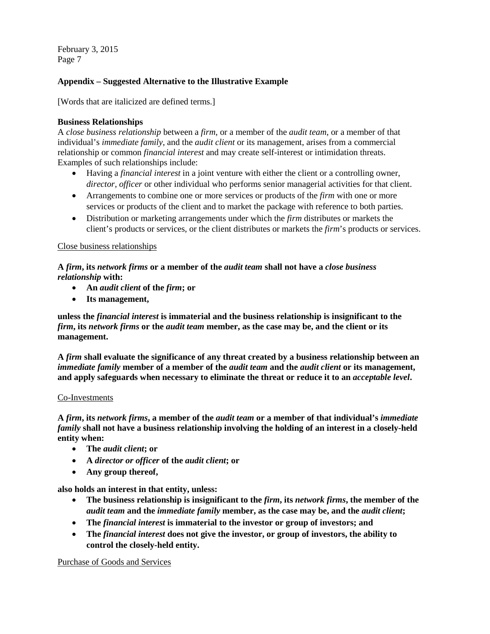## **Appendix – Suggested Alternative to the Illustrative Example**

[Words that are italicized are defined terms.]

### **Business Relationships**

A *close business relationship* between a *firm*, or a member of the *audit team*, or a member of that individual's *immediate family*, and the *audit client* or its management, arises from a commercial relationship or common *financial interest* and may create self-interest or intimidation threats. Examples of such relationships include:

- Having a *financial interest* in a joint venture with either the client or a controlling owner, *director*, *officer* or other individual who performs senior managerial activities for that client.
- Arrangements to combine one or more services or products of the *firm* with one or more services or products of the client and to market the package with reference to both parties.
- Distribution or marketing arrangements under which the *firm* distributes or markets the client's products or services, or the client distributes or markets the *firm*'s products or services.

### Close business relationships

**A** *firm***, its** *network firms* **or a member of the** *audit team* **shall not have a** *close business relationship* **with:** 

- **An** *audit client* **of the** *firm***; or**
- **Its management,**

**unless the** *financial interest* **is immaterial and the business relationship is insignificant to the**  *firm***, its** *network firms* **or the** *audit team* **member, as the case may be, and the client or its management.** 

**A** *firm* **shall evaluate the significance of any threat created by a business relationship between an**  *immediate family* **member of a member of the** *audit team* **and the** *audit client* **or its management, and apply safeguards when necessary to eliminate the threat or reduce it to an** *acceptable level***.**

### Co-Investments

**A** *firm***, its** *network firms***, a member of the** *audit team* **or a member of that individual's** *immediate family* **shall not have a business relationship involving the holding of an interest in a closely-held entity when:** 

- **The** *audit client***; or**
- **A** *director or officer* **of the** *audit client***; or**
- **Any group thereof,**

**also holds an interest in that entity, unless:** 

- The business relationship is insignificant to the *firm*, its *network firms*, the member of the *audit team* **and the** *immediate family* **member, as the case may be, and the** *audit client***;**
- **The** *financial interest* **is immaterial to the investor or group of investors; and**
- **The** *financial interest* **does not give the investor, or group of investors, the ability to control the closely-held entity.**

Purchase of Goods and Services